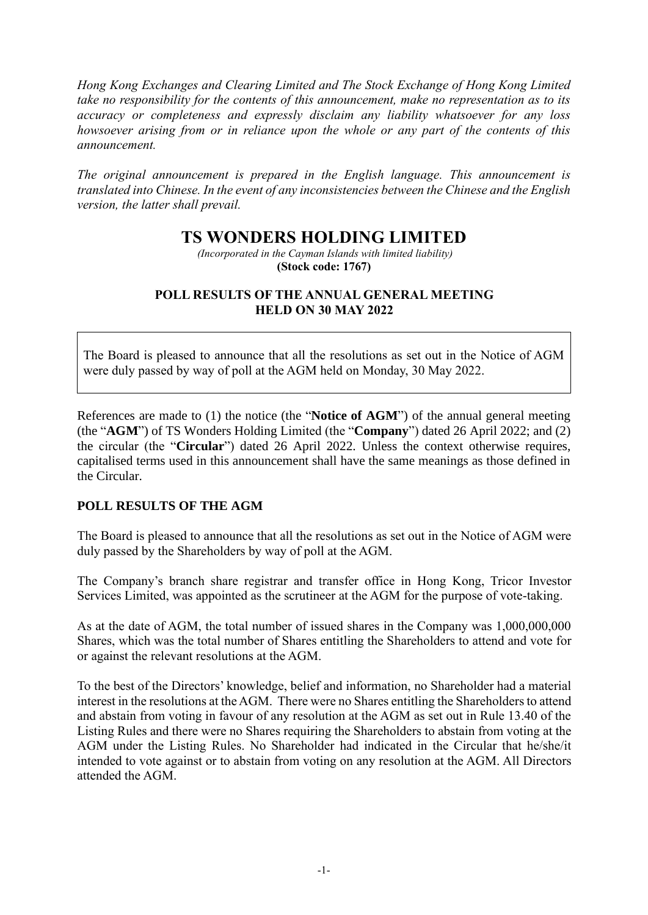*Hong Kong Exchanges and Clearing Limited and The Stock Exchange of Hong Kong Limited take no responsibility for the contents of this announcement, make no representation as to its accuracy or completeness and expressly disclaim any liability whatsoever for any loss howsoever arising from or in reliance upon the whole or any part of the contents of this announcement.*

*The original announcement is prepared in the English language. This announcement is translated into Chinese. In the event of any inconsistencies between the Chinese and the English version, the latter shall prevail.*

## **TS WONDERS HOLDING LIMITED**

*(Incorporated in the Cayman Islands with limited liability)* **(Stock code: 1767)**

## **POLL RESULTS OF THE ANNUAL GENERAL MEETING HELD ON 30 MAY 2022**

The Board is pleased to announce that all the resolutions as set out in the Notice of AGM were duly passed by way of poll at the AGM held on Monday, 30 May 2022.

References are made to (1) the notice (the "**Notice of AGM**") of the annual general meeting (the "**AGM**") of TS Wonders Holding Limited (the "**Company**") dated 26 April 2022; and (2) the circular (the "**Circular**") dated 26 April 2022. Unless the context otherwise requires, capitalised terms used in this announcement shall have the same meanings as those defined in the Circular.

## **POLL RESULTS OF THE AGM**

The Board is pleased to announce that all the resolutions as set out in the Notice of AGM were duly passed by the Shareholders by way of poll at the AGM.

The Company's branch share registrar and transfer office in Hong Kong, Tricor Investor Services Limited, was appointed as the scrutineer at the AGM for the purpose of vote-taking.

As at the date of AGM, the total number of issued shares in the Company was 1,000,000,000 Shares, which was the total number of Shares entitling the Shareholders to attend and vote for or against the relevant resolutions at the AGM.

To the best of the Directors' knowledge, belief and information, no Shareholder had a material interest in the resolutions at the AGM. There were no Shares entitling the Shareholders to attend and abstain from voting in favour of any resolution at the AGM as set out in Rule 13.40 of the Listing Rules and there were no Shares requiring the Shareholders to abstain from voting at the AGM under the Listing Rules. No Shareholder had indicated in the Circular that he/she/it intended to vote against or to abstain from voting on any resolution at the AGM. All Directors attended the AGM.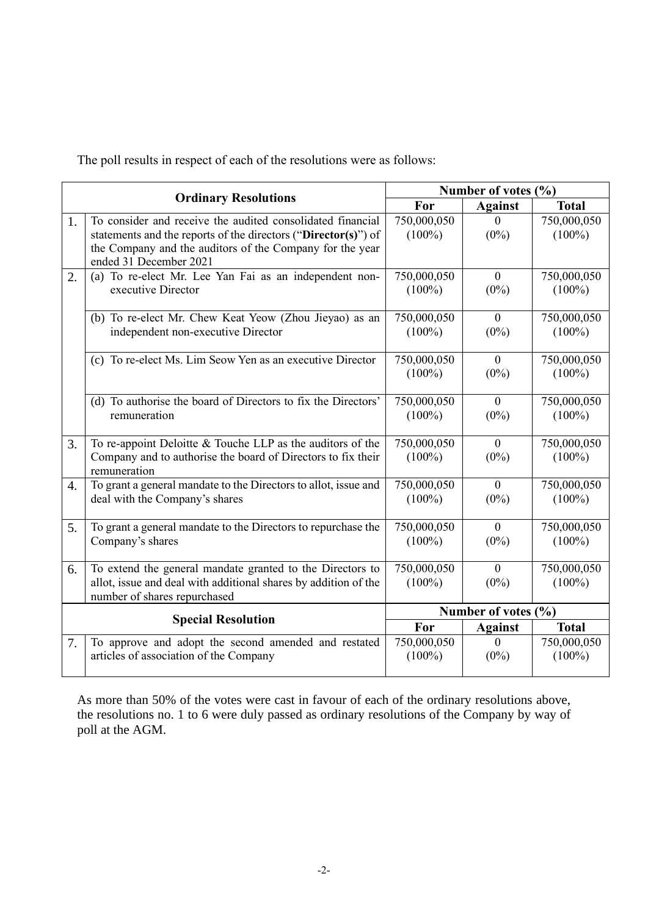The poll results in respect of each of the resolutions were as follows:

| <b>Ordinary Resolutions</b> |                                                                                                                                                                                                                    | Number of votes (%)      |                           |                          |
|-----------------------------|--------------------------------------------------------------------------------------------------------------------------------------------------------------------------------------------------------------------|--------------------------|---------------------------|--------------------------|
|                             |                                                                                                                                                                                                                    | For                      | <b>Against</b>            | <b>Total</b>             |
| 1.                          | To consider and receive the audited consolidated financial<br>statements and the reports of the directors ("Director(s)") of<br>the Company and the auditors of the Company for the year<br>ended 31 December 2021 | 750,000,050<br>$(100\%)$ | $\overline{0}$<br>$(0\%)$ | 750,000,050<br>$(100\%)$ |
| 2.                          | (a) To re-elect Mr. Lee Yan Fai as an independent non-<br>executive Director                                                                                                                                       | 750,000,050<br>$(100\%)$ | $\mathbf{0}$<br>$(0\%)$   | 750,000,050<br>$(100\%)$ |
|                             | (b) To re-elect Mr. Chew Keat Yeow (Zhou Jieyao) as an<br>independent non-executive Director                                                                                                                       | 750,000,050<br>$(100\%)$ | $\overline{0}$<br>$(0\%)$ | 750,000,050<br>$(100\%)$ |
|                             | (c) To re-elect Ms. Lim Seow Yen as an executive Director                                                                                                                                                          | 750,000,050<br>$(100\%)$ | $\overline{0}$<br>$(0\%)$ | 750,000,050<br>$(100\%)$ |
|                             | (d) To authorise the board of Directors to fix the Directors'<br>remuneration                                                                                                                                      | 750,000,050<br>$(100\%)$ | $\overline{0}$<br>$(0\%)$ | 750,000,050<br>$(100\%)$ |
| 3.                          | To re-appoint Deloitte $&$ Touche LLP as the auditors of the<br>Company and to authorise the board of Directors to fix their<br>remuneration                                                                       | 750,000,050<br>$(100\%)$ | $\theta$<br>$(0\%)$       | 750,000,050<br>$(100\%)$ |
| $\overline{4}$ .            | To grant a general mandate to the Directors to allot, issue and<br>deal with the Company's shares                                                                                                                  | 750,000,050<br>$(100\%)$ | $\theta$<br>$(0\%)$       | 750,000,050<br>$(100\%)$ |
| 5.                          | To grant a general mandate to the Directors to repurchase the<br>Company's shares                                                                                                                                  | 750,000,050<br>$(100\%)$ | $\overline{0}$<br>$(0\%)$ | 750,000,050<br>$(100\%)$ |
| 6.                          | To extend the general mandate granted to the Directors to<br>allot, issue and deal with additional shares by addition of the<br>number of shares repurchased                                                       | 750,000,050<br>$(100\%)$ | $\theta$<br>$(0\%)$       | 750,000,050<br>$(100\%)$ |
| <b>Special Resolution</b>   |                                                                                                                                                                                                                    | Number of votes (%)      |                           |                          |
|                             |                                                                                                                                                                                                                    | For                      | <b>Against</b>            | <b>Total</b>             |
| 7.                          | To approve and adopt the second amended and restated<br>articles of association of the Company                                                                                                                     | 750,000,050<br>$(100\%)$ | $\overline{0}$<br>$(0\%)$ | 750,000,050<br>$(100\%)$ |

As more than 50% of the votes were cast in favour of each of the ordinary resolutions above, the resolutions no. 1 to 6 were duly passed as ordinary resolutions of the Company by way of poll at the AGM.